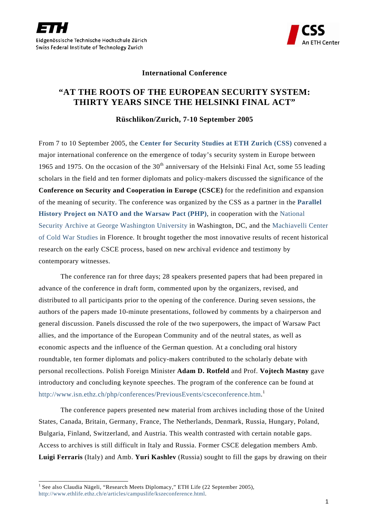



## **International Conference**

## **"AT THE ROOTS OF THE EUROPEAN SECURITY SYSTEM: THIRTY YEARS SINCE THE HELSINKI FINAL ACT"**

## **Rüschlikon/Zurich, 7-10 September 2005**

From 7 to 10 September 2005, the **[Center for Security Studies at ETH Zurich \(CSS\)](http://www.css.ethz.ch/)** convened a major international conference on the emergence of today's security system in Europe between 1965 and 1975. On the occasion of the  $30<sup>th</sup>$  anniversary of the Helsinki Final Act, some 55 leading scholars in the field and ten former diplomats and policy-makers discussed the significance of the **Conference on Security and Cooperation in Europe (CSCE)** for the redefinition and expansion of the meaning of security. The conference was organized by the CSS as a partner in the **[Parallel](http://www.isn.ethz.ch/php)  [History Project on NATO and the Warsaw Pact \(PHP\)](http://www.isn.ethz.ch/php)**, in cooperation with the [National](http://www.gwu.edu/%7Ensarchiv/)  [Security Archive at George Washington University i](http://www.gwu.edu/%7Ensarchiv/)n Washington, DC, and the [Machiavelli Center](http://www.machiavellicenter.net/)  [of Cold War Studies](http://www.machiavellicenter.net/) in Florence. It brought together the most innovative results of recent historical research on the early CSCE process, based on new archival evidence and testimony by contemporary witnesses.

The conference ran for three days; 28 speakers presented papers that had been prepared in advance of the conference in draft form, commented upon by the organizers, revised, and distributed to all participants prior to the opening of the conference. During seven sessions, the authors of the papers made 10-minute presentations, followed by comments by a chairperson and general discussion. Panels discussed the role of the two superpowers, the impact of Warsaw Pact allies, and the importance of the European Community and of the neutral states, as well as economic aspects and the influence of the German question. At a concluding oral history roundtable, ten former diplomats and policy-makers contributed to the scholarly debate with personal recollections. Polish Foreign Minister **Adam D. Rotfeld** and Prof. **Vojtech Mastny** gave introductory and concluding keynote speeches. The program of the conference can be found at [http://www.isn.ethz.ch/php/conferences/PreviousEvents/csceconference.htm.](http://www.isn.ethz.ch/php/conferences/PreviousEvents/csceconference.htm)<sup>[1](#page-0-0)</sup>

The conference papers presented new material from archives including those of the United States, Canada, Britain, Germany, France, The Netherlands, Denmark, Russia, Hungary, Poland, Bulgaria, Finland, Switzerland, and Austria. This wealth contrasted with certain notable gaps. Access to archives is still difficult in Italy and Russia. Former CSCE delegation members Amb. **Luigi Ferraris** (Italy) and Amb. **Yuri Kashlev** (Russia) sought to fill the gaps by drawing on their

<span id="page-0-0"></span><sup>|&</sup>lt;br>|<br>| <sup>1</sup> See also Claudia Nägeli, "Research Meets Diplomacy," ETH Life (22 September 2005), [http://www.ethlife.ethz.ch/e/articles/campuslife/kszeconference.html.](http://www.ethlife.ethz.ch/e/articles/campuslife/kszeconference.html)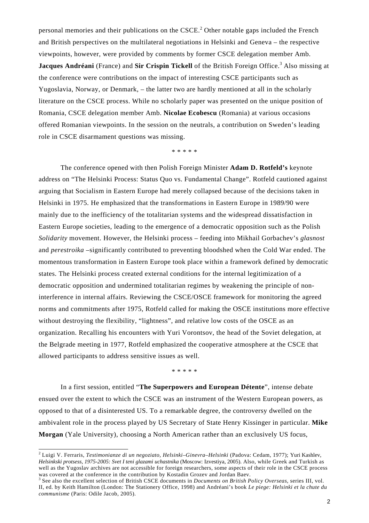personal memories and their publications on the  $CSCE<sup>2</sup>$  $CSCE<sup>2</sup>$  $CSCE<sup>2</sup>$  Other notable gaps included the French and British perspectives on the multilateral negotiations in Helsinki and Geneva – the respective viewpoints, however, were provided by comments by former CSCE delegation member Amb. **JacquesAndréani** (France) and Sir Crispin Tickell of the British Foreign Office.<sup>3</sup> Also missing at the conference were contributions on the impact of interesting CSCE participants such as Yugoslavia, Norway, or Denmark, – the latter two are hardly mentioned at all in the scholarly literature on the CSCE process. While no scholarly paper was presented on the unique position of Romania, CSCE delegation member Amb. **Nicolae Ecobescu** (Romania) at various occasions offered Romanian viewpoints. In the session on the neutrals, a contribution on Sweden's leading role in CSCE disarmament questions was missing.

\* \* \* \* \*

The conference opened with then Polish Foreign Minister **Adam D. Rotfeld's** keynote address on "The Helsinki Process: Status Quo vs. Fundamental Change". Rotfeld cautioned against arguing that Socialism in Eastern Europe had merely collapsed because of the decisions taken in Helsinki in 1975. He emphasized that the transformations in Eastern Europe in 1989/90 were mainly due to the inefficiency of the totalitarian systems and the widespread dissatisfaction in Eastern Europe societies, leading to the emergence of a democratic opposition such as the Polish *Solidarity* movement. However, the Helsinki process – feeding into Mikhail Gorbachev's *glasnost* and *perestroika* –significantly contributed to preventing bloodshed when the Cold War ended. The momentous transformation in Eastern Europe took place within a framework defined by democratic states. The Helsinki process created external conditions for the internal legitimization of a democratic opposition and undermined totalitarian regimes by weakening the principle of noninterference in internal affairs. Reviewing the CSCE/OSCE framework for monitoring the agreed norms and commitments after 1975, Rotfeld called for making the OSCE institutions more effective without destroying the flexibility, "lightness", and relative low costs of the OSCE as an organization. Recalling his encounters with Yuri Vorontsov, the head of the Soviet delegation, at the Belgrade meeting in 1977, Rotfeld emphasized the cooperative atmosphere at the CSCE that allowed participants to address sensitive issues as well.

\* \* \* \* \*

In a first session, entitled "**The Superpowers and European Détente**", intense debate ensued over the extent to which the CSCE was an instrument of the Western European powers, as opposed to that of a disinterested US. To a remarkable degree, the controversy dwelled on the ambivalent role in the process played by US Secretary of State Henry Kissinger in particular. **Mike Morgan** (Yale University), choosing a North American rather than an exclusively US focus,

<span id="page-1-0"></span> 2 Luigi V. Ferraris, *Testimonianze di un negoziato, Helsinki–Ginevra–Helsinki* (Padova: Cedam, 1977); Yuri Kashlev, *Helsinkski protsess, 1975-2005: Svet I teni glazami uchastnika* (Moscow: Izvestiya, 2005). Also, while Greek and Turkish as well as the Yugoslav archives are not accessible for foreign researchers, some aspects of their role in the CSCE process was covered at the conference in the contribution by Kostadin Grozev and Jordan Baev.

<span id="page-1-1"></span><sup>3</sup> See also the excellent selection of British CSCE documents in *Documents on British Policy Overseas*, series III, vol. II, ed. by Keith Hamilton (London: The Stationery Office, 1998) and Andréani's book *Le piege: Helsinki et la chute du communisme* (Paris: Odile Jacob, 2005).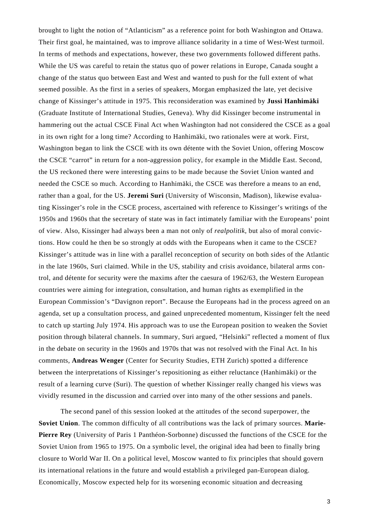brought to light the notion of "Atlanticism" as a reference point for both Washington and Ottawa. Their first goal, he maintained, was to improve alliance solidarity in a time of West-West turmoil. In terms of methods and expectations, however, these two governments followed different paths. While the US was careful to retain the status quo of power relations in Europe, Canada sought a change of the status quo between East and West and wanted to push for the full extent of what seemed possible. As the first in a series of speakers, Morgan emphasized the late, yet decisive change of Kissinger's attitude in 1975. This reconsideration was examined by **Jussi Hanhimäki** (Graduate Institute of International Studies, Geneva). Why did Kissinger become instrumental in hammering out the actual CSCE Final Act when Washington had not considered the CSCE as a goal in its own right for a long time? According to Hanhimäki, two rationales were at work. First, Washington began to link the CSCE with its own détente with the Soviet Union, offering Moscow the CSCE "carrot" in return for a non-aggression policy, for example in the Middle East. Second, the US reckoned there were interesting gains to be made because the Soviet Union wanted and needed the CSCE so much. According to Hanhimäki, the CSCE was therefore a means to an end, rather than a goal, for the US. **Jeremi Suri** (University of Wisconsin, Madison), likewise evaluating Kissinger's role in the CSCE process, ascertained with reference to Kissinger's writings of the 1950s and 1960s that the secretary of state was in fact intimately familiar with the Europeans' point of view. Also, Kissinger had always been a man not only of *realpolitik*, but also of moral convictions. How could he then be so strongly at odds with the Europeans when it came to the CSCE? Kissinger's attitude was in line with a parallel reconception of security on both sides of the Atlantic in the late 1960s, Suri claimed. While in the US, stability and crisis avoidance, bilateral arms control, and détente for security were the maxims after the caesura of 1962/63, the Western European countries were aiming for integration, consultation, and human rights as exemplified in the European Commission's "Davignon report". Because the Europeans had in the process agreed on an agenda, set up a consultation process, and gained unprecedented momentum, Kissinger felt the need to catch up starting July 1974. His approach was to use the European position to weaken the Soviet position through bilateral channels. In summary, Suri argued, "Helsinki" reflected a moment of flux in the debate on security in the 1960s and 1970s that was not resolved with the Final Act. In his comments, **Andreas Wenger** (Center for Security Studies, ETH Zurich) spotted a difference between the interpretations of Kissinger's repositioning as either reluctance (Hanhimäki) or the result of a learning curve (Suri). The question of whether Kissinger really changed his views was vividly resumed in the discussion and carried over into many of the other sessions and panels.

 The second panel of this session looked at the attitudes of the second superpower, the **Soviet Union**. The common difficulty of all contributions was the lack of primary sources. **Marie-Pierre Rey** (University of Paris 1 Panthéon-Sorbonne) discussed the functions of the CSCE for the Soviet Union from 1965 to 1975. On a symbolic level, the original idea had been to finally bring closure to World War II. On a political level, Moscow wanted to fix principles that should govern its international relations in the future and would establish a privileged pan-European dialog. Economically, Moscow expected help for its worsening economic situation and decreasing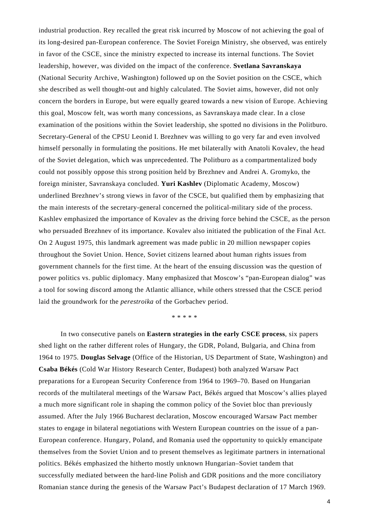industrial production. Rey recalled the great risk incurred by Moscow of not achieving the goal of its long-desired pan-European conference. The Soviet Foreign Ministry, she observed, was entirely in favor of the CSCE, since the ministry expected to increase its internal functions. The Soviet leadership, however, was divided on the impact of the conference. **Svetlana Savranskaya** (National Security Archive, Washington) followed up on the Soviet position on the CSCE, which she described as well thought-out and highly calculated. The Soviet aims, however, did not only concern the borders in Europe, but were equally geared towards a new vision of Europe. Achieving this goal, Moscow felt, was worth many concessions, as Savranskaya made clear. In a close examination of the positions within the Soviet leadership, she spotted no divisions in the Politburo. Secretary-General of the CPSU Leonid I. Brezhnev was willing to go very far and even involved himself personally in formulating the positions. He met bilaterally with Anatoli Kovalev, the head of the Soviet delegation, which was unprecedented. The Politburo as a compartmentalized body could not possibly oppose this strong position held by Brezhnev and Andrei A. Gromyko, the foreign minister, Savranskaya concluded. **Yuri Kashlev** (Diplomatic Academy, Moscow) underlined Brezhnev's strong views in favor of the CSCE, but qualified them by emphasizing that the main interests of the secretary-general concerned the political-military side of the process. Kashlev emphasized the importance of Kovalev as the driving force behind the CSCE, as the person who persuaded Brezhnev of its importance. Kovalev also initiated the publication of the Final Act. On 2 August 1975, this landmark agreement was made public in 20 million newspaper copies throughout the Soviet Union. Hence, Soviet citizens learned about human rights issues from government channels for the first time. At the heart of the ensuing discussion was the question of power politics vs. public diplomacy. Many emphasized that Moscow's "pan-European dialog" was a tool for sowing discord among the Atlantic alliance, while others stressed that the CSCE period laid the groundwork for the *perestroika* of the Gorbachev period.

\* \* \* \* \*

In two consecutive panels on **Eastern strategies in the early CSCE process**, six papers shed light on the rather different roles of Hungary, the GDR, Poland, Bulgaria, and China from 1964 to 1975. **Douglas Selvage** (Office of the Historian, US Department of State, Washington) and **Csaba Békés** (Cold War History Research Center, Budapest) both analyzed Warsaw Pact preparations for a European Security Conference from 1964 to 1969–70. Based on Hungarian records of the multilateral meetings of the Warsaw Pact, Békés argued that Moscow's allies played a much more significant role in shaping the common policy of the Soviet bloc than previously assumed. After the July 1966 Bucharest declaration, Moscow encouraged Warsaw Pact member states to engage in bilateral negotiations with Western European countries on the issue of a pan-European conference. Hungary, Poland, and Romania used the opportunity to quickly emancipate themselves from the Soviet Union and to present themselves as legitimate partners in international politics. Békés emphasized the hitherto mostly unknown Hungarian–Soviet tandem that successfully mediated between the hard-line Polish and GDR positions and the more conciliatory Romanian stance during the genesis of the Warsaw Pact's Budapest declaration of 17 March 1969.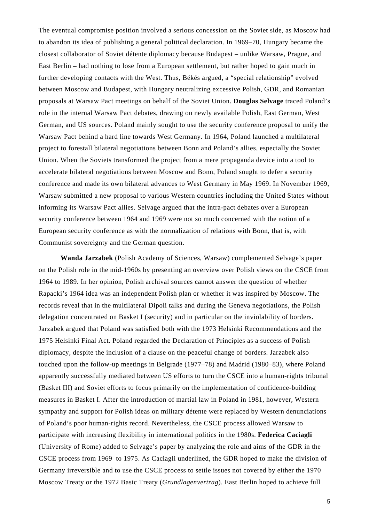The eventual compromise position involved a serious concession on the Soviet side, as Moscow had to abandon its idea of publishing a general political declaration. In 1969–70, Hungary became the closest collaborator of Soviet détente diplomacy because Budapest – unlike Warsaw, Prague, and East Berlin – had nothing to lose from a European settlement, but rather hoped to gain much in further developing contacts with the West. Thus, Békés argued, a "special relationship" evolved between Moscow and Budapest, with Hungary neutralizing excessive Polish, GDR, and Romanian proposals at Warsaw Pact meetings on behalf of the Soviet Union. **Douglas Selvage** traced Poland's role in the internal Warsaw Pact debates, drawing on newly available Polish, East German, West German, and US sources. Poland mainly sought to use the security conference proposal to unify the Warsaw Pact behind a hard line towards West Germany. In 1964, Poland launched a multilateral project to forestall bilateral negotiations between Bonn and Poland's allies, especially the Soviet Union. When the Soviets transformed the project from a mere propaganda device into a tool to accelerate bilateral negotiations between Moscow and Bonn, Poland sought to defer a security conference and made its own bilateral advances to West Germany in May 1969. In November 1969, Warsaw submitted a new proposal to various Western countries including the United States without informing its Warsaw Pact allies. Selvage argued that the intra-pact debates over a European security conference between 1964 and 1969 were not so much concerned with the notion of a European security conference as with the normalization of relations with Bonn, that is, with Communist sovereignty and the German question.

**Wanda Jarzabek** (Polish Academy of Sciences, Warsaw) complemented Selvage's paper on the Polish role in the mid-1960s by presenting an overview over Polish views on the CSCE from 1964 to 1989. In her opinion, Polish archival sources cannot answer the question of whether Rapacki's 1964 idea was an independent Polish plan or whether it was inspired by Moscow. The records reveal that in the multilateral Dipoli talks and during the Geneva negotiations, the Polish delegation concentrated on Basket I (security) and in particular on the inviolability of borders. Jarzabek argued that Poland was satisfied both with the 1973 Helsinki Recommendations and the 1975 Helsinki Final Act. Poland regarded the Declaration of Principles as a success of Polish diplomacy, despite the inclusion of a clause on the peaceful change of borders. Jarzabek also touched upon the follow-up meetings in Belgrade (1977–78) and Madrid (1980–83), where Poland apparently successfully mediated between US efforts to turn the CSCE into a human-rights tribunal (Basket III) and Soviet efforts to focus primarily on the implementation of confidence-building measures in Basket I. After the introduction of martial law in Poland in 1981, however, Western sympathy and support for Polish ideas on military détente were replaced by Western denunciations of Poland's poor human-rights record. Nevertheless, the CSCE process allowed Warsaw to participate with increasing flexibility in international politics in the 1980s. **Federica Caciagli** (University of Rome) added to Selvage's paper by analyzing the role and aims of the GDR in the CSCE process from 1969 to 1975. As Caciagli underlined, the GDR hoped to make the division of Germany irreversible and to use the CSCE process to settle issues not covered by either the 1970 Moscow Treaty or the 1972 Basic Treaty (*Grundlagenvertrag*). East Berlin hoped to achieve full

5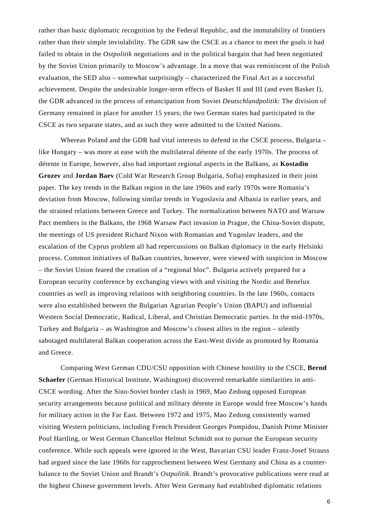rather than basic diplomatic recognition by the Federal Republic, and the immutability of frontiers rather than their simple inviolability. The GDR saw the CSCE as a chance to meet the goals it had failed to obtain in the *Ostpolitik* negotiations and in the political bargain that had been negotiated by the Soviet Union primarily to Moscow's advantage. In a move that was reminiscent of the Polish evaluation, the SED also – somewhat surprisingly – characterized the Final Act as a successful achievement. Despite the undesirable longer-term effects of Basket II and III (and even Basket I), the GDR advanced in the process of emancipation from Soviet *Deutschlandpolitik*: The division of Germany remained in place for another 15 years; the two German states had participated in the CSCE as two separate states, and as such they were admitted to the United Nations.

Whereas Poland and the GDR had vital interests to defend in the CSCE process, Bulgaria – like Hungary – was more at ease with the multilateral détente of the early 1970s. The process of détente in Europe, however, also had important regional aspects in the Balkans, as **Kostadin Grozev** and **Jordan Baev** (Cold War Research Group Bulgaria, Sofia) emphasized in their joint paper. The key trends in the Balkan region in the late 1960s and early 1970s were Romania's deviation from Moscow, following similar trends in Yugoslavia and Albania in earlier years, and the strained relations between Greece and Turkey. The normalization between NATO and Warsaw Pact members in the Balkans, the 1968 Warsaw Pact invasion in Prague, the China-Soviet dispute, the meetings of US president Richard Nixon with Romanian and Yugoslav leaders, and the escalation of the Cyprus problem all had repercussions on Balkan diplomacy in the early Helsinki process. Common initiatives of Balkan countries, however, were viewed with suspicion in Moscow – the Soviet Union feared the creation of a "regional bloc". Bulgaria actively prepared for a European security conference by exchanging views with and visiting the Nordic and Benelux countries as well as improving relations with neighboring countries. In the late 1960s, contacts were also established between the Bulgarian Agrarian People's Union (BAPU) and influential Western Social Democratic, Radical, Liberal, and Christian Democratic parties. In the mid-1970s, Turkey and Bulgaria – as Washington and Moscow's closest allies in the region – silently sabotaged multilateral Balkan cooperation across the East-West divide as promoted by Romania and Greece.

 Comparing West German CDU/CSU opposition with Chinese hostility to the CSCE, **Bernd Schaefer** (German Historical Institute, Washington) discovered remarkable similarities in anti-CSCE wording. After the Sino-Soviet border clash in 1969, Mao Zedong opposed European security arrangements because political and military détente in Europe would free Moscow's hands for military action in the Far East. Between 1972 and 1975, Mao Zedong consistently warned visiting Western politicians, including French President Georges Pompidou, Danish Prime Minister Poul Hartling, or West German Chancellor Helmut Schmidt not to pursue the European security conference. While such appeals were ignored in the West, Bavarian CSU leader Franz-Josef Strauss had argued since the late 1960s for rapprochement between West Germany and China as a counterbalance to the Soviet Union and Brandt's *Ostpolitik*. Brandt's provocative publications were read at the highest Chinese government levels. After West Germany had established diplomatic relations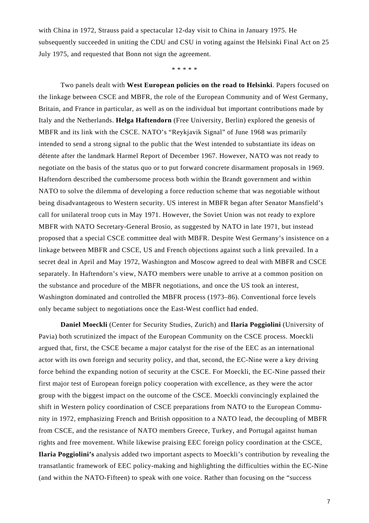with China in 1972, Strauss paid a spectacular 12-day visit to China in January 1975. He subsequently succeeded in uniting the CDU and CSU in voting against the Helsinki Final Act on 25 July 1975, and requested that Bonn not sign the agreement.

\* \* \* \* \*

Two panels dealt with **West European policies on the road to Helsinki**. Papers focused on the linkage between CSCE and MBFR, the role of the European Community and of West Germany, Britain, and France in particular, as well as on the individual but important contributions made by Italy and the Netherlands. **Helga Haftendorn** (Free University, Berlin) explored the genesis of MBFR and its link with the CSCE. NATO's "Reykjavik Signal" of June 1968 was primarily intended to send a strong signal to the public that the West intended to substantiate its ideas on détente after the landmark Harmel Report of December 1967. However, NATO was not ready to negotiate on the basis of the status quo or to put forward concrete disarmament proposals in 1969. Haftendorn described the cumbersome process both within the Brandt government and within NATO to solve the dilemma of developing a force reduction scheme that was negotiable without being disadvantageous to Western security. US interest in MBFR began after Senator Mansfield's call for unilateral troop cuts in May 1971. However, the Soviet Union was not ready to explore MBFR with NATO Secretary-General Brosio, as suggested by NATO in late 1971, but instead proposed that a special CSCE committee deal with MBFR. Despite West Germany's insistence on a linkage between MBFR and CSCE, US and French objections against such a link prevailed. In a secret deal in April and May 1972, Washington and Moscow agreed to deal with MBFR and CSCE separately. In Haftendorn's view, NATO members were unable to arrive at a common position on the substance and procedure of the MBFR negotiations, and once the US took an interest, Washington dominated and controlled the MBFR process (1973–86). Conventional force levels only became subject to negotiations once the East-West conflict had ended.

**Daniel Moeckli** (Center for Security Studies, Zurich) and **Ilaria Poggiolini** (University of Pavia) both scrutinized the impact of the European Community on the CSCE process. Moeckli argued that, first, the CSCE became a major catalyst for the rise of the EEC as an international actor with its own foreign and security policy, and that, second, the EC-Nine were a key driving force behind the expanding notion of security at the CSCE. For Moeckli, the EC-Nine passed their first major test of European foreign policy cooperation with excellence, as they were the actor group with the biggest impact on the outcome of the CSCE. Moeckli convincingly explained the shift in Western policy coordination of CSCE preparations from NATO to the European Community in 1972, emphasizing French and British opposition to a NATO lead, the decoupling of MBFR from CSCE, and the resistance of NATO members Greece, Turkey, and Portugal against human rights and free movement. While likewise praising EEC foreign policy coordination at the CSCE, **Ilaria Poggiolini's** analysis added two important aspects to Moeckli's contribution by revealing the transatlantic framework of EEC policy-making and highlighting the difficulties within the EC-Nine (and within the NATO-Fifteen) to speak with one voice. Rather than focusing on the "success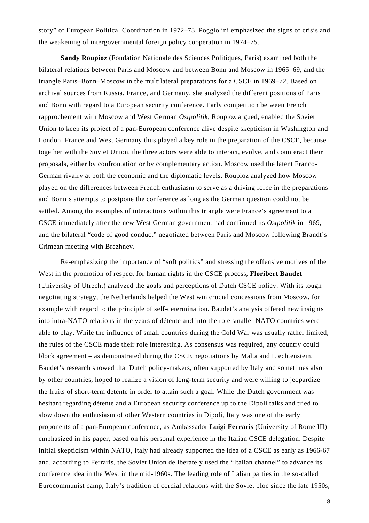story" of European Political Coordination in 1972–73, Poggiolini emphasized the signs of crisis and the weakening of intergovernmental foreign policy cooperation in 1974–75.

**Sandy Roupioz** (Fondation Nationale des Sciences Politiques, Paris) examined both the bilateral relations between Paris and Moscow and between Bonn and Moscow in 1965–69, and the triangle Paris–Bonn–Moscow in the multilateral preparations for a CSCE in 1969–72. Based on archival sources from Russia, France, and Germany, she analyzed the different positions of Paris and Bonn with regard to a European security conference. Early competition between French rapprochement with Moscow and West German *Ostpolitik*, Roupioz argued, enabled the Soviet Union to keep its project of a pan-European conference alive despite skepticism in Washington and London. France and West Germany thus played a key role in the preparation of the CSCE, because together with the Soviet Union, the three actors were able to interact, evolve, and counteract their proposals, either by confrontation or by complementary action. Moscow used the latent Franco-German rivalry at both the economic and the diplomatic levels. Roupioz analyzed how Moscow played on the differences between French enthusiasm to serve as a driving force in the preparations and Bonn's attempts to postpone the conference as long as the German question could not be settled. Among the examples of interactions within this triangle were France's agreement to a CSCE immediately after the new West German government had confirmed its *Ostpolitik* in 1969, and the bilateral "code of good conduct" negotiated between Paris and Moscow following Brandt's Crimean meeting with Brezhnev.

Re-emphasizing the importance of "soft politics" and stressing the offensive motives of the West in the promotion of respect for human rights in the CSCE process, **Floribert Baudet** (University of Utrecht) analyzed the goals and perceptions of Dutch CSCE policy. With its tough negotiating strategy, the Netherlands helped the West win crucial concessions from Moscow, for example with regard to the principle of self-determination. Baudet's analysis offered new insights into intra-NATO relations in the years of détente and into the role smaller NATO countries were able to play. While the influence of small countries during the Cold War was usually rather limited, the rules of the CSCE made their role interesting. As consensus was required, any country could block agreement – as demonstrated during the CSCE negotiations by Malta and Liechtenstein. Baudet's research showed that Dutch policy-makers, often supported by Italy and sometimes also by other countries, hoped to realize a vision of long-term security and were willing to jeopardize the fruits of short-term détente in order to attain such a goal. While the Dutch government was hesitant regarding détente and a European security conference up to the Dipoli talks and tried to slow down the enthusiasm of other Western countries in Dipoli, Italy was one of the early proponents of a pan-European conference, as Ambassador **Luigi Ferraris** (University of Rome III) emphasized in his paper, based on his personal experience in the Italian CSCE delegation. Despite initial skepticism within NATO, Italy had already supported the idea of a CSCE as early as 1966-67 and, according to Ferraris, the Soviet Union deliberately used the "Italian channel" to advance its conference idea in the West in the mid-1960s. The leading role of Italian parties in the so-called Eurocommunist camp, Italy's tradition of cordial relations with the Soviet bloc since the late 1950s,

8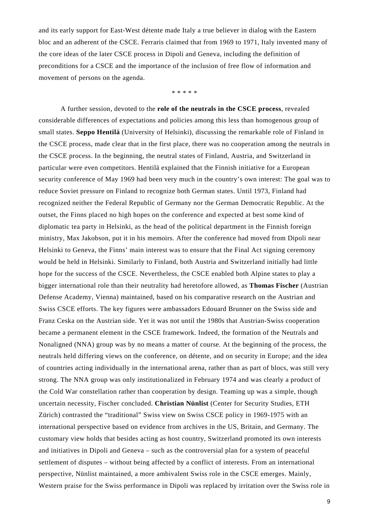and its early support for East-West détente made Italy a true believer in dialog with the Eastern bloc and an adherent of the CSCE. Ferraris claimed that from 1969 to 1971, Italy invented many of the core ideas of the later CSCE process in Dipoli and Geneva, including the definition of preconditions for a CSCE and the importance of the inclusion of free flow of information and movement of persons on the agenda.

\* \* \* \* \*

A further session, devoted to the **role of the neutrals in the CSCE process**, revealed considerable differences of expectations and policies among this less than homogenous group of small states. **Seppo Hentilä** (University of Helsinki), discussing the remarkable role of Finland in the CSCE process, made clear that in the first place, there was no cooperation among the neutrals in the CSCE process. In the beginning, the neutral states of Finland, Austria, and Switzerland in particular were even competitors. Hentilä explained that the Finnish initiative for a European security conference of May 1969 had been very much in the country's own interest: The goal was to reduce Soviet pressure on Finland to recognize both German states. Until 1973, Finland had recognized neither the Federal Republic of Germany nor the German Democratic Republic. At the outset, the Finns placed no high hopes on the conference and expected at best some kind of diplomatic tea party in Helsinki, as the head of the political department in the Finnish foreign ministry, Max Jakobson, put it in his memoirs. After the conference had moved from Dipoli near Helsinki to Geneva, the Finns' main interest was to ensure that the Final Act signing ceremony would be held in Helsinki. Similarly to Finland, both Austria and Switzerland initially had little hope for the success of the CSCE. Nevertheless, the CSCE enabled both Alpine states to play a bigger international role than their neutrality had heretofore allowed, as **Thomas Fischer** (Austrian Defense Academy, Vienna) maintained, based on his comparative research on the Austrian and Swiss CSCE efforts. The key figures were ambassadors Edouard Brunner on the Swiss side and Franz Ceska on the Austrian side. Yet it was not until the 1980s that Austrian-Swiss cooperation became a permanent element in the CSCE framework. Indeed, the formation of the Neutrals and Nonaligned (NNA) group was by no means a matter of course. At the beginning of the process, the neutrals held differing views on the conference, on détente, and on security in Europe; and the idea of countries acting individually in the international arena, rather than as part of blocs, was still very strong. The NNA group was only institutionalized in February 1974 and was clearly a product of the Cold War constellation rather than cooperation by design. Teaming up was a simple, though uncertain necessity, Fischer concluded. **Christian Nünlist** (Center for Security Studies, ETH Zürich) contrasted the "traditional" Swiss view on Swiss CSCE policy in 1969-1975 with an international perspective based on evidence from archives in the US, Britain, and Germany. The customary view holds that besides acting as host country, Switzerland promoted its own interests and initiatives in Dipoli and Geneva – such as the controversial plan for a system of peaceful settlement of disputes – without being affected by a conflict of interests. From an international perspective, Nünlist maintained, a more ambivalent Swiss role in the CSCE emerges. Mainly, Western praise for the Swiss performance in Dipoli was replaced by irritation over the Swiss role in

9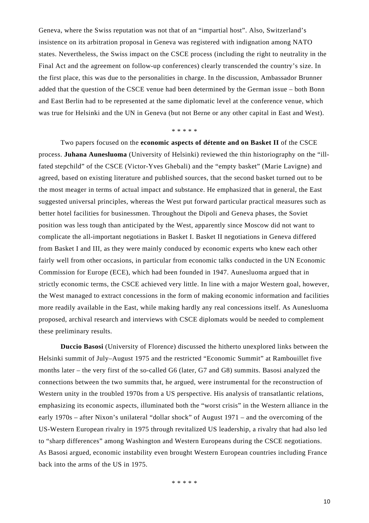Geneva, where the Swiss reputation was not that of an "impartial host". Also, Switzerland's insistence on its arbitration proposal in Geneva was registered with indignation among NATO states. Nevertheless, the Swiss impact on the CSCE process (including the right to neutrality in the Final Act and the agreement on follow-up conferences) clearly transcended the country's size. In the first place, this was due to the personalities in charge. In the discussion, Ambassador Brunner added that the question of the CSCE venue had been determined by the German issue – both Bonn and East Berlin had to be represented at the same diplomatic level at the conference venue, which was true for Helsinki and the UN in Geneva (but not Berne or any other capital in East and West).

\* \* \* \* \*

Two papers focused on the **economic aspects of détente and on Basket II** of the CSCE process. **Juhana Aunesluoma** (University of Helsinki) reviewed the thin historiography on the "illfated stepchild" of the CSCE (Victor-Yves Ghebali) and the "empty basket" (Marie Lavigne) and agreed, based on existing literature and published sources, that the second basket turned out to be the most meager in terms of actual impact and substance. He emphasized that in general, the East suggested universal principles, whereas the West put forward particular practical measures such as better hotel facilities for businessmen. Throughout the Dipoli and Geneva phases, the Soviet position was less tough than anticipated by the West, apparently since Moscow did not want to complicate the all-important negotiations in Basket I. Basket II negotiations in Geneva differed from Basket I and III, as they were mainly conduced by economic experts who knew each other fairly well from other occasions, in particular from economic talks conducted in the UN Economic Commission for Europe (ECE), which had been founded in 1947. Aunesluoma argued that in strictly economic terms, the CSCE achieved very little. In line with a major Western goal, however, the West managed to extract concessions in the form of making economic information and facilities more readily available in the East, while making hardly any real concessions itself. As Aunesluoma proposed, archival research and interviews with CSCE diplomats would be needed to complement these preliminary results.

**Duccio Basosi** (University of Florence) discussed the hitherto unexplored links between the Helsinki summit of July–August 1975 and the restricted "Economic Summit" at Rambouillet five months later – the very first of the so-called G6 (later, G7 and G8) summits. Basosi analyzed the connections between the two summits that, he argued, were instrumental for the reconstruction of Western unity in the troubled 1970s from a US perspective. His analysis of transatlantic relations, emphasizing its economic aspects, illuminated both the "worst crisis" in the Western alliance in the early 1970s – after Nixon's unilateral "dollar shock" of August 1971 – and the overcoming of the US-Western European rivalry in 1975 through revitalized US leadership, a rivalry that had also led to "sharp differences" among Washington and Western Europeans during the CSCE negotiations. As Basosi argued, economic instability even brought Western European countries including France back into the arms of the US in 1975.

\* \* \* \* \*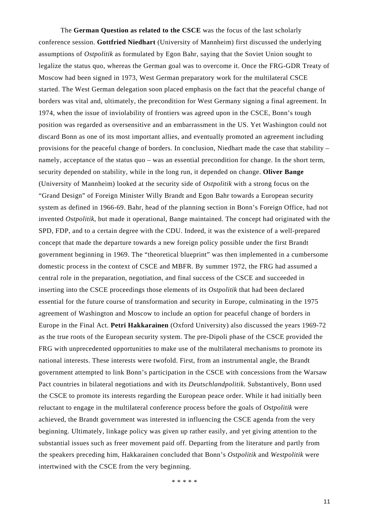The **German Question as related to the CSCE** was the focus of the last scholarly conference session. **Gottfried Niedhart** (University of Mannheim) first discussed the underlying assumptions of *Ostpolitik* as formulated by Egon Bahr, saying that the Soviet Union sought to legalize the status quo, whereas the German goal was to overcome it. Once the FRG-GDR Treaty of Moscow had been signed in 1973, West German preparatory work for the multilateral CSCE started. The West German delegation soon placed emphasis on the fact that the peaceful change of borders was vital and, ultimately, the precondition for West Germany signing a final agreement. In 1974, when the issue of inviolability of frontiers was agreed upon in the CSCE, Bonn's tough position was regarded as oversensitive and an embarrassment in the US. Yet Washington could not discard Bonn as one of its most important allies, and eventually promoted an agreement including provisions for the peaceful change of borders. In conclusion, Niedhart made the case that stability – namely, acceptance of the status quo – was an essential precondition for change. In the short term, security depended on stability, while in the long run, it depended on change. **Oliver Bange** (University of Mannheim) looked at the security side of *Ostpolitik* with a strong focus on the "Grand Design" of Foreign Minister Willy Brandt and Egon Bahr towards a European security system as defined in 1966-69. Bahr, head of the planning section in Bonn's Foreign Office, had not invented *Ostpolitik*, but made it operational, Bange maintained. The concept had originated with the SPD, FDP, and to a certain degree with the CDU. Indeed, it was the existence of a well-prepared concept that made the departure towards a new foreign policy possible under the first Brandt government beginning in 1969. The "theoretical blueprint" was then implemented in a cumbersome domestic process in the context of CSCE and MBFR. By summer 1972, the FRG had assumed a central role in the preparation, negotiation, and final success of the CSCE and succeeded in inserting into the CSCE proceedings those elements of its *Ostpolitik* that had been declared essential for the future course of transformation and security in Europe, culminating in the 1975 agreement of Washington and Moscow to include an option for peaceful change of borders in Europe in the Final Act. **Petri Hakkarainen** (Oxford University) also discussed the years 1969-72 as the true roots of the European security system. The pre-Dipoli phase of the CSCE provided the FRG with unprecedented opportunities to make use of the multilateral mechanisms to promote its national interests. These interests were twofold. First, from an instrumental angle, the Brandt government attempted to link Bonn's participation in the CSCE with concessions from the Warsaw Pact countries in bilateral negotiations and with its *Deutschlandpolitik*. Substantively, Bonn used the CSCE to promote its interests regarding the European peace order. While it had initially been reluctant to engage in the multilateral conference process before the goals of *Ostpolitik* were achieved, the Brandt government was interested in influencing the CSCE agenda from the very beginning. Ultimately, linkage policy was given up rather easily, and yet giving attention to the substantial issues such as freer movement paid off. Departing from the literature and partly from the speakers preceding him, Hakkarainen concluded that Bonn's *Ostpolitik* and *Westpolitik* were intertwined with the CSCE from the very beginning.

\* \* \* \* \*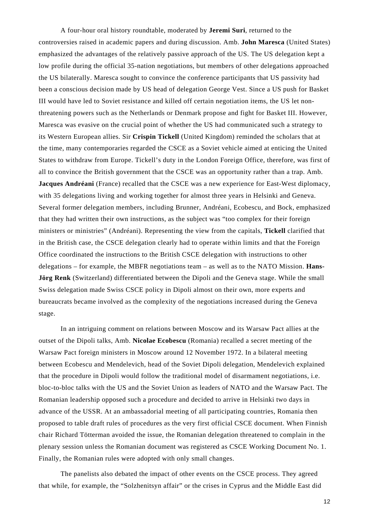A four-hour oral history roundtable, moderated by **Jeremi Suri**, returned to the controversies raised in academic papers and during discussion. Amb. **John Maresca** (United States) emphasized the advantages of the relatively passive approach of the US. The US delegation kept a low profile during the official 35-nation negotiations, but members of other delegations approached the US bilaterally. Maresca sought to convince the conference participants that US passivity had been a conscious decision made by US head of delegation George Vest. Since a US push for Basket III would have led to Soviet resistance and killed off certain negotiation items, the US let nonthreatening powers such as the Netherlands or Denmark propose and fight for Basket III. However, Maresca was evasive on the crucial point of whether the US had communicated such a strategy to its Western European allies. Sir **Crispin Tickell** (United Kingdom) reminded the scholars that at the time, many contemporaries regarded the CSCE as a Soviet vehicle aimed at enticing the United States to withdraw from Europe. Tickell's duty in the London Foreign Office, therefore, was first of all to convince the British government that the CSCE was an opportunity rather than a trap. Amb. **Jacques Andréani** (France) recalled that the CSCE was a new experience for East-West diplomacy, with 35 delegations living and working together for almost three years in Helsinki and Geneva. Several former delegation members, including Brunner, Andréani, Ecobescu, and Bock, emphasized that they had written their own instructions, as the subject was "too complex for their foreign ministers or ministries" (Andréani). Representing the view from the capitals, **Tickell** clarified that in the British case, the CSCE delegation clearly had to operate within limits and that the Foreign Office coordinated the instructions to the British CSCE delegation with instructions to other delegations – for example, the MBFR negotiations team – as well as to the NATO Mission. **Hans-Jörg Renk** (Switzerland) differentiated between the Dipoli and the Geneva stage. While the small Swiss delegation made Swiss CSCE policy in Dipoli almost on their own, more experts and bureaucrats became involved as the complexity of the negotiations increased during the Geneva stage.

In an intriguing comment on relations between Moscow and its Warsaw Pact allies at the outset of the Dipoli talks, Amb. **Nicolae Ecobescu** (Romania) recalled a secret meeting of the Warsaw Pact foreign ministers in Moscow around 12 November 1972. In a bilateral meeting between Ecobescu and Mendelevich, head of the Soviet Dipoli delegation, Mendelevich explained that the procedure in Dipoli would follow the traditional model of disarmament negotiations, i.e. bloc-to-bloc talks with the US and the Soviet Union as leaders of NATO and the Warsaw Pact. The Romanian leadership opposed such a procedure and decided to arrive in Helsinki two days in advance of the USSR. At an ambassadorial meeting of all participating countries, Romania then proposed to table draft rules of procedures as the very first official CSCE document. When Finnish chair Richard Tötterman avoided the issue, the Romanian delegation threatened to complain in the plenary session unless the Romanian document was registered as CSCE Working Document No. 1. Finally, the Romanian rules were adopted with only small changes.

The panelists also debated the impact of other events on the CSCE process. They agreed that while, for example, the "Solzhenitsyn affair" or the crises in Cyprus and the Middle East did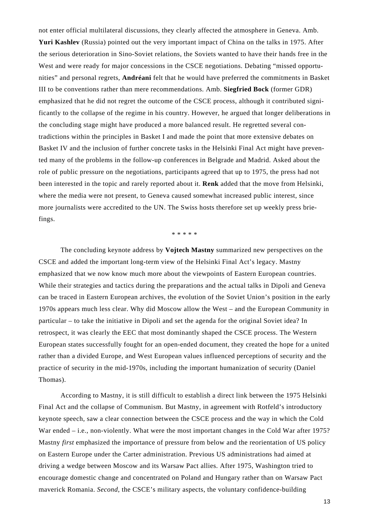not enter official multilateral discussions, they clearly affected the atmosphere in Geneva. Amb. **Yuri Kashlev** (Russia) pointed out the very important impact of China on the talks in 1975. After the serious deterioration in Sino-Soviet relations, the Soviets wanted to have their hands free in the West and were ready for major concessions in the CSCE negotiations. Debating "missed opportunities" and personal regrets, **Andréani** felt that he would have preferred the commitments in Basket III to be conventions rather than mere recommendations. Amb. **Siegfried Bock** (former GDR) emphasized that he did not regret the outcome of the CSCE process, although it contributed significantly to the collapse of the regime in his country. However, he argued that longer deliberations in the concluding stage might have produced a more balanced result. He regretted several contradictions within the principles in Basket I and made the point that more extensive debates on Basket IV and the inclusion of further concrete tasks in the Helsinki Final Act might have prevented many of the problems in the follow-up conferences in Belgrade and Madrid. Asked about the role of public pressure on the negotiations, participants agreed that up to 1975, the press had not been interested in the topic and rarely reported about it. **Renk** added that the move from Helsinki, where the media were not present, to Geneva caused somewhat increased public interest, since more journalists were accredited to the UN. The Swiss hosts therefore set up weekly press briefings.

\* \* \* \* \*

 The concluding keynote address by **Vojtech Mastny** summarized new perspectives on the CSCE and added the important long-term view of the Helsinki Final Act's legacy. Mastny emphasized that we now know much more about the viewpoints of Eastern European countries. While their strategies and tactics during the preparations and the actual talks in Dipoli and Geneva can be traced in Eastern European archives, the evolution of the Soviet Union's position in the early 1970s appears much less clear. Why did Moscow allow the West – and the European Community in particular – to take the initiative in Dipoli and set the agenda for the original Soviet idea? In retrospect, it was clearly the EEC that most dominantly shaped the CSCE process. The Western European states successfully fought for an open-ended document, they created the hope for a united rather than a divided Europe, and West European values influenced perceptions of security and the practice of security in the mid-1970s, including the important humanization of security (Daniel Thomas).

According to Mastny, it is still difficult to establish a direct link between the 1975 Helsinki Final Act and the collapse of Communism. But Mastny, in agreement with Rotfeld's introductory keynote speech, saw a clear connection between the CSCE process and the way in which the Cold War ended – i.e., non-violently. What were the most important changes in the Cold War after 1975? Mastny *first* emphasized the importance of pressure from below and the reorientation of US policy on Eastern Europe under the Carter administration. Previous US administrations had aimed at driving a wedge between Moscow and its Warsaw Pact allies. After 1975, Washington tried to encourage domestic change and concentrated on Poland and Hungary rather than on Warsaw Pact maverick Romania. *Second*, the CSCE's military aspects, the voluntary confidence-building